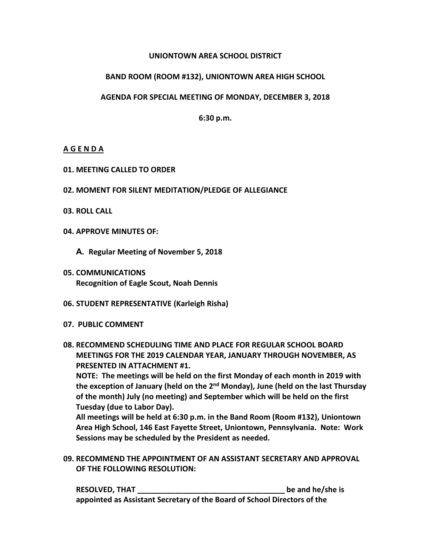#### **UNIONTOWN AREA SCHOOL DISTRICT**

## **BAND ROOM (ROOM #132), UNIONTOWN AREA HIGH SCHOOL**

#### **AGENDA FOR SPECIAL MEETING OF MONDAY, DECEMBER 3, 2018**

**6:30 p.m.**

## **A G E N D A**

- **01. MEETING CALLED TO ORDER**
- **02. MOMENT FOR SILENT MEDITATION/PLEDGE OF ALLEGIANCE**
- **03. ROLL CALL**
- **04. APPROVE MINUTES OF:**
	- **A. Regular Meeting of November 5, 2018**
- **05. COMMUNICATIONS Recognition of Eagle Scout, Noah Dennis**
- **06. STUDENT REPRESENTATIVE (Karleigh Risha)**
- **07. PUBLIC COMMENT**
- **08. RECOMMEND SCHEDULING TIME AND PLACE FOR REGULAR SCHOOL BOARD MEETINGS FOR THE 2019 CALENDAR YEAR, JANUARY THROUGH NOVEMBER, AS PRESENTED IN ATTACHMENT #1.**

**NOTE: The meetings will be held on the first Monday of each month in 2019 with the exception of January (held on the 2nd Monday), June (held on the last Thursday of the month) July (no meeting) and September which will be held on the first Tuesday (due to Labor Day).**

**All meetings will be held at 6:30 p.m. in the Band Room (Room #132), Uniontown Area High School, 146 East Fayette Street, Uniontown, Pennsylvania. Note: Work Sessions may be scheduled by the President as needed.**

**09. RECOMMEND THE APPOINTMENT OF AN ASSISTANT SECRETARY AND APPROVAL OF THE FOLLOWING RESOLUTION:**

**RESOLVED, THAT \_\_\_\_\_\_\_\_\_\_\_\_\_\_\_\_\_\_\_\_\_\_\_\_\_\_\_\_\_\_\_\_\_\_\_ be and he/she is appointed as Assistant Secretary of the Board of School Directors of the**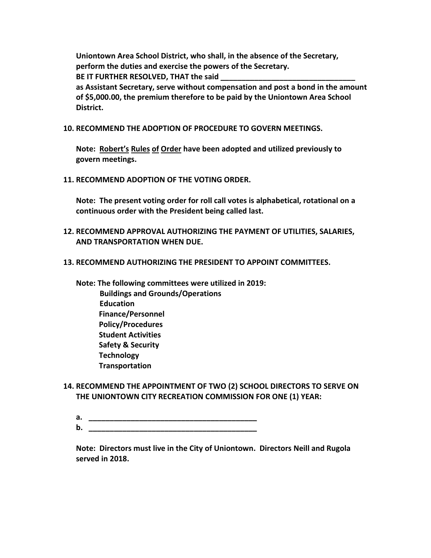**Uniontown Area School District, who shall, in the absence of the Secretary, perform the duties and exercise the powers of the Secretary. BE IT FURTHER RESOLVED, THAT the said \_\_\_\_\_\_\_\_\_\_\_\_\_\_\_\_\_\_\_\_\_\_\_\_\_\_\_\_\_\_\_\_ as Assistant Secretary, serve without compensation and post a bond in the amount of \$5,000.00, the premium therefore to be paid by the Uniontown Area School District.**

**10. RECOMMEND THE ADOPTION OF PROCEDURE TO GOVERN MEETINGS.**

**Note: Robert's Rules of Order have been adopted and utilized previously to govern meetings.**

**11. RECOMMEND ADOPTION OF THE VOTING ORDER.**

**Note: The present voting order for roll call votes is alphabetical, rotational on a continuous order with the President being called last.**

- **12. RECOMMEND APPROVAL AUTHORIZING THE PAYMENT OF UTILITIES, SALARIES, AND TRANSPORTATION WHEN DUE.**
- **13. RECOMMEND AUTHORIZING THE PRESIDENT TO APPOINT COMMITTEES.**

**Note: The following committees were utilized in 2019: Buildings and Grounds/Operations Education Finance/Personnel Policy/Procedures Student Activities Safety & Security Technology Transportation**

- **14. RECOMMEND THE APPOINTMENT OF TWO (2) SCHOOL DIRECTORS TO SERVE ON THE UNIONTOWN CITY RECREATION COMMISSION FOR ONE (1) YEAR:**
	- **a. \_\_\_\_\_\_\_\_\_\_\_\_\_\_\_\_\_\_\_\_\_\_\_\_\_\_\_\_\_\_\_\_\_\_\_\_\_\_\_\_ b. \_\_\_\_\_\_\_\_\_\_\_\_\_\_\_\_\_\_\_\_\_\_\_\_\_\_\_\_\_\_\_\_\_\_\_\_\_\_\_\_**

**Note: Directors must live in the City of Uniontown. Directors Neill and Rugola served in 2018.**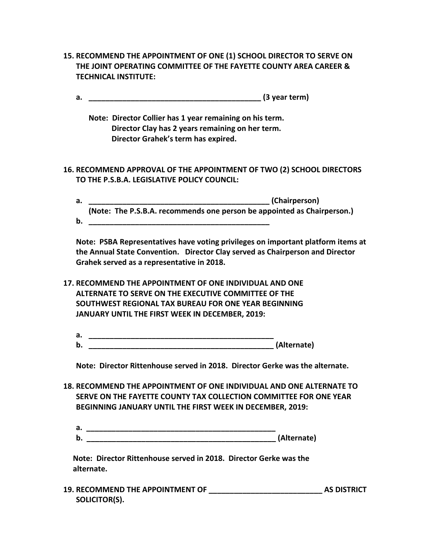- **15. RECOMMEND THE APPOINTMENT OF ONE (1) SCHOOL DIRECTOR TO SERVE ON THE JOINT OPERATING COMMITTEE OF THE FAYETTE COUNTY AREA CAREER & TECHNICAL INSTITUTE:**
	- **a. \_\_\_\_\_\_\_\_\_\_\_\_\_\_\_\_\_\_\_\_\_\_\_\_\_\_\_\_\_\_\_\_\_\_\_\_\_\_\_\_\_ (3 year term)**
		- **Note: Director Collier has 1 year remaining on his term. Director Clay has 2 years remaining on her term. Director Grahek's term has expired.**
- **16. RECOMMEND APPROVAL OF THE APPOINTMENT OF TWO (2) SCHOOL DIRECTORS TO THE P.S.B.A. LEGISLATIVE POLICY COUNCIL:**
	- **a. \_\_\_\_\_\_\_\_\_\_\_\_\_\_\_\_\_\_\_\_\_\_\_\_\_\_\_\_\_\_\_\_\_\_\_\_\_\_\_\_\_\_\_ (Chairperson) (Note: The P.S.B.A. recommends one person be appointed as Chairperson.) b. \_\_\_\_\_\_\_\_\_\_\_\_\_\_\_\_\_\_\_\_\_\_\_\_\_\_\_\_\_\_\_\_\_\_\_\_\_\_\_\_\_\_\_**

**Note: PSBA Representatives have voting privileges on important platform items at the Annual State Convention. Director Clay served as Chairperson and Director Grahek served as a representative in 2018.**

- **17. RECOMMEND THE APPOINTMENT OF ONE INDIVIDUAL AND ONE ALTERNATE TO SERVE ON THE EXECUTIVE COMMITTEE OF THE SOUTHWEST REGIONAL TAX BUREAU FOR ONE YEAR BEGINNING JANUARY UNTIL THE FIRST WEEK IN DECEMBER, 2019:**
	- **a. \_\_\_\_\_\_\_\_\_\_\_\_\_\_\_\_\_\_\_\_\_\_\_\_\_\_\_\_\_\_\_\_\_\_\_\_\_\_\_\_\_\_\_\_ b. \_\_\_\_\_\_\_\_\_\_\_\_\_\_\_\_\_\_\_\_\_\_\_\_\_\_\_\_\_\_\_\_\_\_\_\_\_\_\_\_\_\_\_\_ (Alternate)**

**Note: Director Rittenhouse served in 2018. Director Gerke was the alternate.**

- **18. RECOMMEND THE APPOINTMENT OF ONE INDIVIDUAL AND ONE ALTERNATE TO SERVE ON THE FAYETTE COUNTY TAX COLLECTION COMMITTEE FOR ONE YEAR BEGINNING JANUARY UNTIL THE FIRST WEEK IN DECEMBER, 2019:**
	- **a. \_\_\_\_\_\_\_\_\_\_\_\_\_\_\_\_\_\_\_\_\_\_\_\_\_\_\_\_\_\_\_\_\_\_\_\_\_\_\_\_\_\_\_\_\_ b.** (Alternate)

 **Note: Director Rittenhouse served in 2018. Director Gerke was the alternate.**

**19. RECOMMEND THE APPOINTMENT OF \_\_\_\_\_\_\_\_\_\_\_\_\_\_\_\_\_\_\_\_\_\_\_\_\_\_\_ AS DISTRICT SOLICITOR(S).**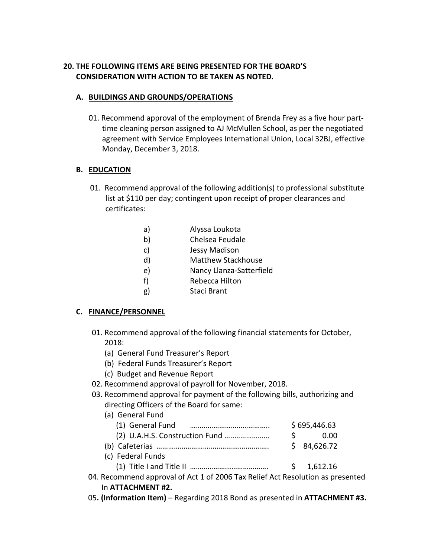# **20. THE FOLLOWING ITEMS ARE BEING PRESENTED FOR THE BOARD'S CONSIDERATION WITH ACTION TO BE TAKEN AS NOTED.**

## **A. BUILDINGS AND GROUNDS/OPERATIONS**

01. Recommend approval of the employment of Brenda Frey as a five hour part time cleaning person assigned to AJ McMullen School, as per the negotiated agreement with Service Employees International Union, Local 32BJ, effective Monday, December 3, 2018.

## **B. EDUCATION**

- 01. Recommend approval of the following addition(s) to professional substitute list at \$110 per day; contingent upon receipt of proper clearances and certificates:
	- a) Alyssa Loukota
	- b) Chelsea Feudale
	- c) Jessy Madison
	- d) Matthew Stackhouse
	- e) Nancy Llanza-Satterfield
	- f) Rebecca Hilton
	- g) Staci Brant

## **C. FINANCE/PERSONNEL**

- 01. Recommend approval of the following financial statements for October, 2018:
	- (a) General Fund Treasurer's Report
	- (b) Federal Funds Treasurer's Report
	- (c) Budget and Revenue Report
- 02. Recommend approval of payroll for November, 2018.
- 03. Recommend approval for payment of the following bills, authorizing and directing Officers of the Board for same:

| (a) General Fund                                                           |              |            |  |
|----------------------------------------------------------------------------|--------------|------------|--|
|                                                                            | \$695,446.63 |            |  |
|                                                                            | $\varsigma$  | 0.00       |  |
|                                                                            |              | \$4,626.72 |  |
| (c) Federal Funds                                                          |              |            |  |
|                                                                            |              | \$1,612.16 |  |
| I. Recommend approval of Act 1 of 2006 Tax Relief Act Resolution as preser |              |            |  |

## 04. Recommend approval of Act 1 of 2006 Tax Relief Act Resolution as presented In **ATTACHMENT #2.**

05**. (Information Item)** – Regarding 2018 Bond as presented in **ATTACHMENT #3.**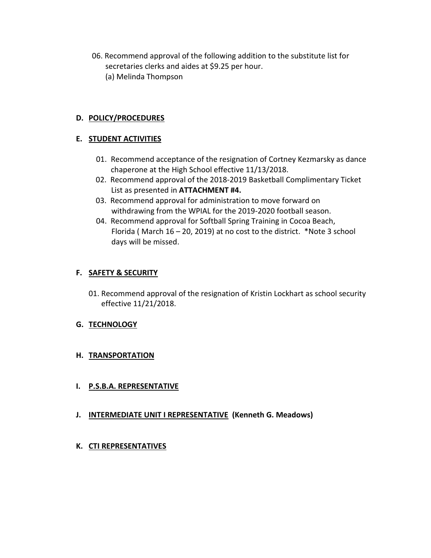06. Recommend approval of the following addition to the substitute list for secretaries clerks and aides at \$9.25 per hour. (a) Melinda Thompson

## **D. POLICY/PROCEDURES**

## **E. STUDENT ACTIVITIES**

- 01. Recommend acceptance of the resignation of Cortney Kezmarsky as dance chaperone at the High School effective 11/13/2018.
- 02. Recommend approval of the 2018-2019 Basketball Complimentary Ticket List as presented in **ATTACHMENT #4.**
- 03. Recommend approval for administration to move forward on withdrawing from the WPIAL for the 2019-2020 football season.
- 04. Recommend approval for Softball Spring Training in Cocoa Beach, Florida ( March 16 – 20, 2019) at no cost to the district. \*Note 3 school days will be missed.

## **F. SAFETY & SECURITY**

01. Recommend approval of the resignation of Kristin Lockhart as school security effective 11/21/2018.

#### **G. TECHNOLOGY**

#### **H. TRANSPORTATION**

#### **I. P.S.B.A. REPRESENTATIVE**

**J. INTERMEDIATE UNIT I REPRESENTATIVE (Kenneth G. Meadows)**

#### **K. CTI REPRESENTATIVES**